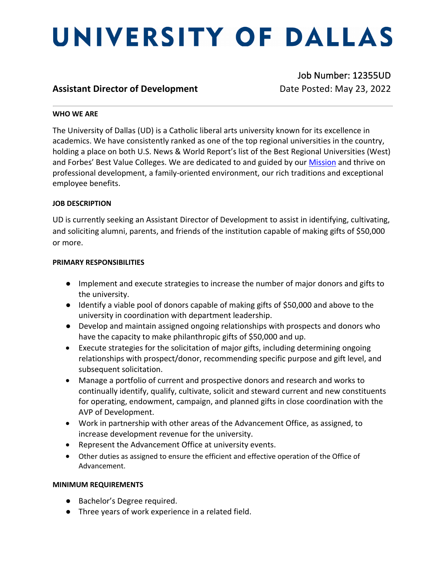# UNIVERSITY OF DALLAS

### **Assistant Director of Development Date Posted: May 23, 2022**

Job Number: 12355UD

#### **WHO WE ARE**

The University of Dallas (UD) is a Catholic liberal arts university known for its excellence in academics. We have consistently ranked as one of the top regional universities in the country, holding a place on both U.S. News & World Report's list of the Best Regional Universities (West) and Forbes' Best Value Colleges. We are dedicated to and guided by our **Mission** and thrive on professional development, a family-oriented environment, our rich traditions and exceptional employee benefits.

#### **JOB DESCRIPTION**

UD is currently seeking an Assistant Director of Development to assist in identifying, cultivating, and soliciting alumni, parents, and friends of the institution capable of making gifts of \$50,000 or more.

#### **PRIMARY RESPONSIBILITIES**

- Implement and execute strategies to increase the number of major donors and gifts to the university.
- Identify a viable pool of donors capable of making gifts of \$50,000 and above to the university in coordination with department leadership.
- Develop and maintain assigned ongoing relationships with prospects and donors who have the capacity to make philanthropic gifts of \$50,000 and up.
- Execute strategies for the solicitation of major gifts, including determining ongoing relationships with prospect/donor, recommending specific purpose and gift level, and subsequent solicitation.
- Manage a portfolio of current and prospective donors and research and works to continually identify, qualify, cultivate, solicit and steward current and new constituents for operating, endowment, campaign, and planned gifts in close coordination with the AVP of Development.
- Work in partnership with other areas of the Advancement Office, as assigned, to increase development revenue for the university.
- Represent the Advancement Office at university events.
- Other duties as assigned to ensure the efficient and effective operation of the Office of Advancement.

#### **MINIMUM REQUIREMENTS**

- Bachelor's Degree required.
- Three years of work experience in a related field.